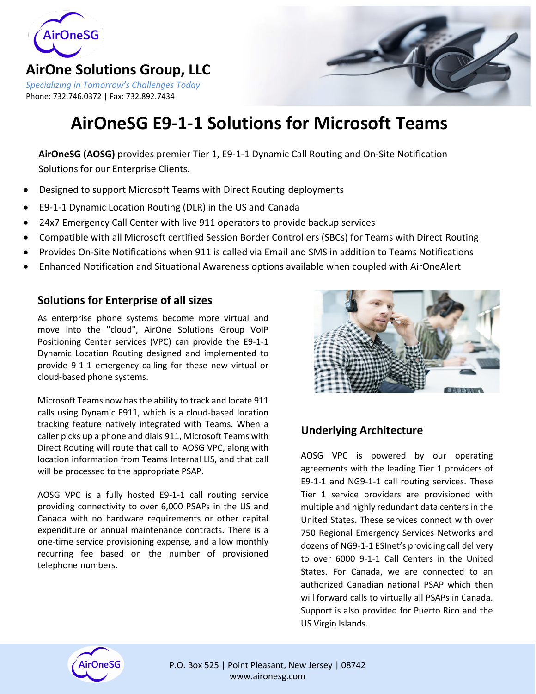

### **AirOne Solutions Group, LLC**

*Specializing in Tomorrow's Challenges Today* Phone: 732.746.0372 | Fax: 732.892.7434



# **AirOneSG E9-1-1 Solutions for Microsoft Teams**

**AirOneSG (AOSG)** provides premier Tier 1, E9-1-1 Dynamic Call Routing and On-Site Notification Solutions for our Enterprise Clients.

- Designed to support Microsoft Teams with Direct Routing deployments
- E9-1-1 Dynamic Location Routing (DLR) in the US and Canada
- 24x7 Emergency Call Center with live 911 operators to provide backup services
- Compatible with all Microsoft certified Session Border Controllers (SBCs) for Teams with Direct Routing
- Provides On-Site Notifications when 911 is called via Email and SMS in addition to Teams Notifications
- Enhanced Notification and Situational Awareness options available when coupled with AirOneAlert

#### **Solutions for Enterprise of all sizes**

As enterprise phone systems become more virtual and move into the "cloud", AirOne Solutions Group VoIP Positioning Center services (VPC) can provide the E9-1-1 Dynamic Location Routing designed and implemented to provide 9-1-1 emergency calling for these new virtual or cloud-based phone systems.

Microsoft Teams now has the ability to track and locate 911 calls using Dynamic E911, which is a cloud-based location tracking feature natively integrated with Teams. When a caller picks up a phone and dials 911, Microsoft Teams with Direct Routing will route that call to AOSG VPC, along with location information from Teams Internal LIS, and that call will be processed to the appropriate PSAP.

AOSG VPC is a fully hosted E9-1-1 call routing service providing connectivity to over 6,000 PSAPs in the US and Canada with no hardware requirements or other capital expenditure or annual maintenance contracts. There is a one-time service provisioning expense, and a low monthly recurring fee based on the number of provisioned telephone numbers.



### **Underlying Architecture**

AOSG VPC is powered by our operating agreements with the leading Tier 1 providers of E9-1-1 and NG9-1-1 call routing services. These Tier 1 service providers are provisioned with multiple and highly redundant data centers in the United States. These services connect with over 750 Regional Emergency Services Networks and dozens of NG9-1-1 ESInet's providing call delivery to over 6000 9-1-1 Call Centers in the United States. For Canada, we are connected to an authorized Canadian national PSAP which then will forward calls to virtually all PSAPs in Canada. Support is also provided for Puerto Rico and the US Virgin Islands.